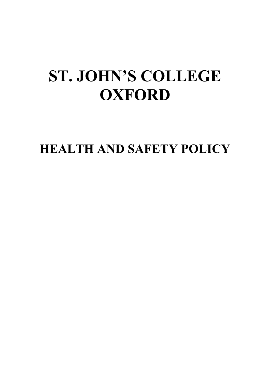# **ST. JOHN'S COLLEGE OXFORD**

**HEALTH AND SAFETY POLICY**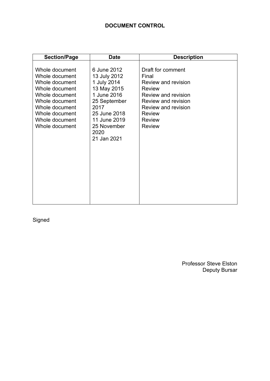# **DOCUMENT CONTROL**

| <b>Section/Page</b>                                                                                                                                                              | <b>Date</b>                                                                                                                                                            | <b>Description</b>                                                                                                                                                                                       |
|----------------------------------------------------------------------------------------------------------------------------------------------------------------------------------|------------------------------------------------------------------------------------------------------------------------------------------------------------------------|----------------------------------------------------------------------------------------------------------------------------------------------------------------------------------------------------------|
| Whole document<br>Whole document<br>Whole document<br>Whole document<br>Whole document<br>Whole document<br>Whole document<br>Whole document<br>Whole document<br>Whole document | 6 June 2012<br>13 July 2012<br>1 July 2014<br>13 May 2015<br>1 June 2016<br>25 September<br>2017<br>25 June 2018<br>11 June 2019<br>25 November<br>2020<br>21 Jan 2021 | Draft for comment<br>Final<br><b>Review and revision</b><br>Review<br>Review and revision<br><b>Review and revision</b><br><b>Review and revision</b><br><b>Review</b><br><b>Review</b><br><b>Review</b> |

Signed

Professor Steve Elston Deputy Bursar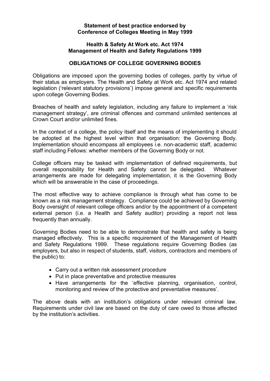# **Statement of best practice endorsed by Conference of Colleges Meeting in May 1999**

# **Health & Safety At Work etc. Act 1974 Management of Health and Safety Regulations 1999**

# **OBLIGATIONS OF COLLEGE GOVERNING BODIES**

Obligations are imposed upon the governing bodies of colleges, partly by virtue of their status as employers. The Health and Safety at Work etc. Act 1974 and related legislation ('relevant statutory provisions') impose general and specific requirements upon college Governing Bodies.

Breaches of health and safety legislation, including any failure to implement a 'risk management strategy', are criminal offences and command unlimited sentences at Crown Court and/or unlimited fines.

In the context of a college, the policy itself and the means of implementing it should be adopted at the highest level within that organisation: the Governing Body. Implementation should encompass all employees i.e. non-academic staff, academic staff including Fellows: whether members of the Governing Body or not.

College officers may be tasked with implementation of defined requirements, but overall responsibility for Health and Safety cannot be delegated. Whatever arrangements are made for delegating implementation, it is the Governing Body which will be answerable in the case of proceedings.

The most effective way to achieve compliance is through what has come to be known as a risk management strategy. Compliance could be achieved by Governing Body oversight of relevant college officers and/or by the appointment of a competent external person (i.e. a Health and Safety auditor) providing a report not less frequently than annually.

Governing Bodies need to be able to demonstrate that health and safety is being managed effectively. This is a specific requirement of the Management of Health and Safety Regulations 1999. These regulations require Governing Bodies (as employers, but also in respect of students, staff, visitors, contractors and members of the public) to:

- Carry out a written risk assessment procedure
- Put in place preventative and protective measures
- Have arrangements for the 'effective planning, organisation, control, monitoring and review of the protective and preventative measures'.

The above deals with an institution's obligations under relevant criminal law. Requirements under civil law are based on the duty of care owed to those affected by the institution's activities.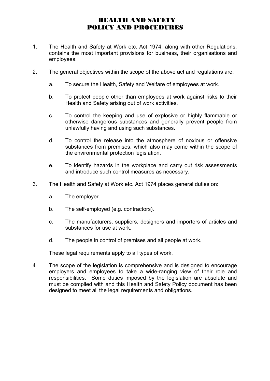# HEALTH AND SAFETY POLICY AND PROCEDURES

- 1. The Health and Safety at Work etc. Act 1974, along with other Regulations, contains the most important provisions for business, their organisations and employees.
- 2. The general objectives within the scope of the above act and regulations are:
	- a. To secure the Health, Safety and Welfare of employees at work.
	- b. To protect people other than employees at work against risks to their Health and Safety arising out of work activities.
	- c. To control the keeping and use of explosive or highly flammable or otherwise dangerous substances and generally prevent people from unlawfully having and using such substances.
	- d. To control the release into the atmosphere of noxious or offensive substances from premises, which also may come within the scope of the environmental protection legislation.
	- e. To identify hazards in the workplace and carry out risk assessments and introduce such control measures as necessary.
- 3. The Health and Safety at Work etc. Act 1974 places general duties on:
	- a. The employer.
	- b. The self-employed (e.g. contractors).
	- c. The manufacturers, suppliers, designers and importers of articles and substances for use at work.
	- d. The people in control of premises and all people at work.

These legal requirements apply to all types of work.

4 The scope of the legislation is comprehensive and is designed to encourage employers and employees to take a wide-ranging view of their role and responsibilities. Some duties imposed by the legislation are absolute and must be complied with and this Health and Safety Policy document has been designed to meet all the legal requirements and obligations.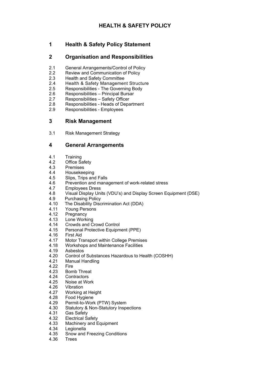# **HEALTH & SAFETY POLICY**

# **1 Health & Safety Policy Statement**

# **2 Organisation and Responsibilities**

- 2.1 General Arrangements/Control of Policy<br>2.2 Review and Communication of Policy
- 2.2 Review and Communication of Policy<br>2.3 Health and Safety Committee
- 2.3 Health and Safety Committee<br>2.4 Health & Safety Managemer
- 2.4 Health & Safety Management Structure<br>2.5 Responsibilities The Governing Body
- 2.5 Responsibilities The Governing Body
- 2.6 Responsibilities Principal Bursar
- 2.7 Responsibilities Safety Officer
- 2.8 Responsibilities Heads of Department
- 2.9 Responsibilities Employees

# **3 Risk Management**

3.1 Risk Management Strategy

# **4 General Arrangements**

- 4.1 Training<br>4.2 Office Sa
- 4.2 Office Safety<br>4.3 Premises
- **Premises**
- 4.4 Housekeeping
- 4.5 Slips, Trips and Falls
- 4.6 Prevention and management of work-related stress
- 4.7 Employees Dress<br>4.8 Visual Display Uni
- 4.8 Visual Display Units (VDU's) and Display Screen Equipment (DSE)
- 4.9 Purchasing Policy<br>4.10 The Disability Disc
- 4.10 The Disability Discrimination Act (DDA)<br>4.11 Young Persons
- Young Persons
- 4.12 Pregnancy
- 4.13 Lone Working
- 4.14 Crowds and Crowd Control
- 4.15 Personal Protective Equipment (PPE)
- 4.16 First Aid
- 4.17 Motor Transport within College Premises<br>4.18 Workshops and Maintenance Facilities
- Workshops and Maintenance Facilities
- 4.19 Asbestos<br>4.20 Control of
- 4.20 Control of Substances Hazardous to Health (COSHH)<br>4.21 Manual Handling
- Manual Handling
- 4.22 Fire
- 4.23 Bomb Threat<br>4.24 Contractors
- **Contractors**
- 4.25 Noise at Work
- 4.26 Vibration
- 4.27 Working at Height
- 4.28 Food Hygiene
- 4.29 Permit-to-Work (PTW) System
- 4.30 Statutory & Non-Statutory Inspections
- 4.31 Gas Safety
- 4.32 Electrical Safety
- 4.33 Machinery and Equipment
- 4.34 Legionella
- 4.35 Snow and Freezing Conditions
- 4.36 Trees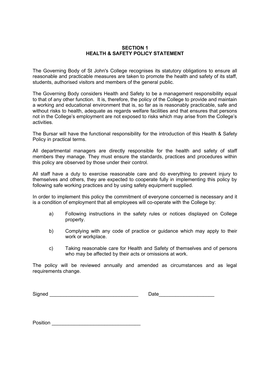# **SECTION 1 HEALTH & SAFETY POLICY STATEMENT**

The Governing Body of St John's College recognises its statutory obligations to ensure all reasonable and practicable measures are taken to promote the health and safety of its staff, students, authorised visitors and members of the general public.

The Governing Body considers Health and Safety to be a management responsibility equal to that of any other function. It is, therefore, the policy of the College to provide and maintain a working and educational environment that is, so far as is reasonably practicable, safe and without risks to health, adequate as regards welfare facilities and that ensures that persons not in the College's employment are not exposed to risks which may arise from the College's activities.

The Bursar will have the functional responsibility for the introduction of this Health & Safety Policy in practical terms.

All departmental managers are directly responsible for the health and safety of staff members they manage. They must ensure the standards, practices and procedures within this policy are observed by those under their control.

All staff have a duty to exercise reasonable care and do everything to prevent injury to themselves and others, they are expected to cooperate fully in implementing this policy by following safe working practices and by using safety equipment supplied.

In order to implement this policy the commitment of everyone concerned is necessary and it is a condition of employment that all employees will co-operate with the College by:

- a) Following instructions in the safety rules or notices displayed on College property.
- b) Complying with any code of practice or guidance which may apply to their work or workplace.
- c) Taking reasonable care for Health and Safety of themselves and of persons who may be affected by their acts or omissions at work.

The policy will be reviewed annually and amended as circumstances and as legal requirements change.

Signed \_\_\_\_\_\_\_\_\_\_\_\_\_\_\_\_\_\_\_\_\_\_\_\_\_\_\_\_\_\_\_\_ Date\_\_\_\_\_\_\_\_\_\_\_\_\_\_\_\_\_\_\_\_

Position **Exercise Exercise Server Server Server Server Server Server Server Server Server Server Server Server Server Server Server Server Server Server Server Server Server Server Server Server Server Server Server Serve**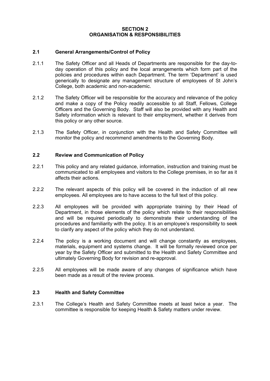#### **SECTION 2 ORGANISATION & RESPONSIBILITIES**

#### **2.1 General Arrangements/Control of Policy**

- 2.1.1 The Safety Officer and all Heads of Departments are responsible for the day-today operation of this policy and the local arrangements which form part of the policies and procedures within each Department. The term 'Department' is used generically to designate any management structure of employees of St John's College, both academic and non-academic.
- 2.1.2 The Safety Officer will be responsible for the accuracy and relevance of the policy and make a copy of the Policy readily accessible to all Staff, Fellows, College Officers and the Governing Body. Staff will also be provided with any Health and Safety information which is relevant to their employment, whether it derives from this policy or any other source.
- 2.1.3 The Safety Officer, in conjunction with the Health and Safety Committee will monitor the policy and recommend amendments to the Governing Body.

#### **2.2 Review and Communication of Policy**

- 2.2.1 This policy and any related guidance, information, instruction and training must be communicated to all employees and visitors to the College premises, in so far as it affects their actions.
- 2.2.2 The relevant aspects of this policy will be covered in the induction of all new employees. All employees are to have access to the full text of this policy.
- 2.2.3 All employees will be provided with appropriate training by their Head of Department, in those elements of the policy which relate to their responsibilities and will be required periodically to demonstrate their understanding of the procedures and familiarity with the policy. It is an employee's responsibility to seek to clarify any aspect of the policy which they do not understand.
- 2.2.4 The policy is a working document and will change constantly as employees, materials, equipment and systems change. It will be formally reviewed once per year by the Safety Officer and submitted to the Health and Safety Committee and ultimately Governing Body for revision and re-approval.
- 2.2.5 All employees will be made aware of any changes of significance which have been made as a result of the review process.

#### **2.3 Health and Safety Committee**

2.3.1 The College's Health and Safety Committee meets at least twice a year. The committee is responsible for keeping Health & Safety matters under review.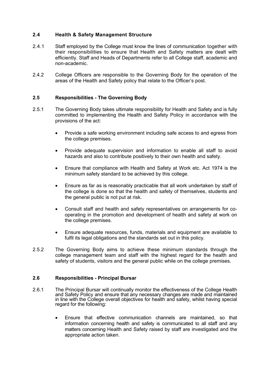# **2.4 Health & Safety Management Structure**

- 2.4.1 Staff employed by the College must know the lines of communication together with their responsibilities to ensure that Health and Safety matters are dealt with efficiently. Staff and Heads of Departments refer to all College staff, academic and non-academic.
- 2.4.2 College Officers are responsible to the Governing Body for the operation of the areas of the Health and Safety policy that relate to the Officer's post.

# **2.5 Responsibilities - The Governing Body**

- 2.5.1 The Governing Body takes ultimate responsibility for Health and Safety and is fully committed to implementing the Health and Safety Policy in accordance with the provisions of the act:
	- Provide a safe working environment including safe access to and egress from the college premises.
	- Provide adequate supervision and information to enable all staff to avoid hazards and also to contribute positively to their own health and safety.
	- Ensure that compliance with Health and Safety at Work etc. Act 1974 is the minimum safety standard to be achieved by this college.
	- Ensure as far as is reasonably practicable that all work undertaken by staff of the college is done so that the health and safety of themselves, students and the general public is not put at risk.
	- Consult staff and health and safety representatives on arrangements for cooperating in the promotion and development of health and safety at work on the college premises.
	- Ensure adequate resources, funds, materials and equipment are available to fulfil its legal obligations and the standards set out in this policy.
- 2.5.2 The Governing Body aims to achieve these minimum standards through the college management team and staff with the highest regard for the health and safety of students, visitors and the general public while on the college premises.

# **2.6 Responsibilities - Principal Bursar**

- 2.6.1 The Principal Bursar will continually monitor the effectiveness of the College Health and Safety Policy and ensure that any necessary changes are made and maintained in line with the College overall objectives for health and safety, whilst having special regard for the following:
	- Ensure that effective communication channels are maintained, so that information concerning health and safety is communicated to all staff and any matters concerning Health and Safety raised by staff are investigated and the appropriate action taken.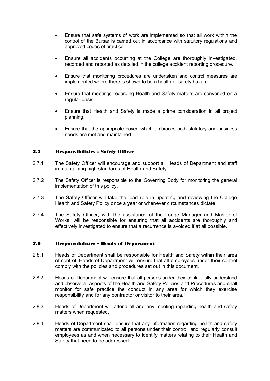- Ensure that safe systems of work are implemented so that all work within the control of the Bursar is carried out in accordance with statutory regulations and approved codes of practice.
- Ensure all accidents occurring at the College are thoroughly investigated, recorded and reported as detailed in the college accident reporting procedure.
- Ensure that monitoring procedures are undertaken and control measures are implemented where there is shown to be a health or safety hazard.
- Ensure that meetings regarding Health and Safety matters are convened on a regular basis.
- Ensure that Health and Safety is made a prime consideration in all project planning.
- Ensure that the appropriate cover, which embraces both statutory and business needs are met and maintained.

#### 2.7 Responsibilities - Safety Officer

- 2.7.1 The Safety Officer will encourage and support all Heads of Department and staff in maintaining high standards of Health and Safety.
- 2.7.2 The Safety Officer is responsible to the Governing Body for monitoring the general implementation of this policy.
- 2.7.3 The Safety Officer will take the lead role in updating and reviewing the College Health and Safety Policy once a year or whenever circumstances dictate.
- 2.7.4 The Safety Officer, with the assistance of the Lodge Manager and Master of Works, will be responsible for ensuring that all accidents are thoroughly and effectively investigated to ensure that a recurrence is avoided if at all possible.

#### 2.8 Responsibilities - Heads of Department

- 2.8.1 Heads of Department shall be responsible for Health and Safety within their area of control. Heads of Department will ensure that all employees under their control comply with the policies and procedures set out in this document.
- 2.8.2 Heads of Department will ensure that all persons under their control fully understand and observe all aspects of the Health and Safety Policies and Procedures and shall monitor for safe practice the conduct in any area for which they exercise responsibility and for any contractor or visitor to their area.
- 2.8.3 Heads of Department will attend all and any meeting regarding health and safety matters when requested.
- 2.8.4 Heads of Department shall ensure that any information regarding health and safety matters are communicated to all persons under their control, and regularly consult employees as and when necessary to identify matters relating to their Health and Safety that need to be addressed.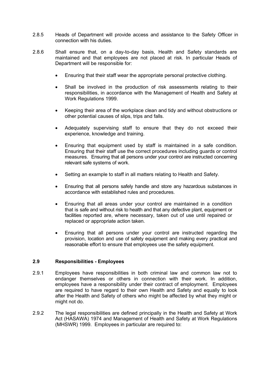- 2.8.5 Heads of Department will provide access and assistance to the Safety Officer in connection with his duties.
- 2.8.6 Shall ensure that, on a day-to-day basis, Health and Safety standards are maintained and that employees are not placed at risk. In particular Heads of Department will be responsible for:
	- Ensuring that their staff wear the appropriate personal protective clothing.
	- Shall be involved in the production of risk assessments relating to their responsibilities, in accordance with the Management of Health and Safety at Work Regulations 1999.
	- Keeping their area of the workplace clean and tidy and without obstructions or other potential causes of slips, trips and falls.
	- Adequately supervising staff to ensure that they do not exceed their experience, knowledge and training.
	- Ensuring that equipment used by staff is maintained in a safe condition. Ensuring that their staff use the correct procedures including guards or control measures. Ensuring that all persons under your control are instructed concerning relevant safe systems of work.
	- Setting an example to staff in all matters relating to Health and Safety.
	- Ensuring that all persons safely handle and store any hazardous substances in accordance with established rules and procedures.
	- Ensuring that all areas under your control are maintained in a condition that is safe and without risk to health and that any defective plant, equipment or facilities reported are, where necessary, taken out of use until repaired or replaced or appropriate action taken.
	- Ensuring that all persons under your control are instructed regarding the provision, location and use of safety equipment and making every practical and reasonable effort to ensure that employees use the safety equipment.

# **2.9 Responsibilities - Employees**

- 2.9.1 Employees have responsibilities in both criminal law and common law not to endanger themselves or others in connection with their work. In addition, employees have a responsibility under their contract of employment. Employees are required to have regard to their own Health and Safety and equally to look after the Health and Safety of others who might be affected by what they might or might not do.
- 2.9.2 The legal responsibilities are defined principally in the Health and Safety at Work Act (HASAWA) 1974 and Management of Health and Safety at Work Regulations (MHSWR) 1999. Employees in particular are required to: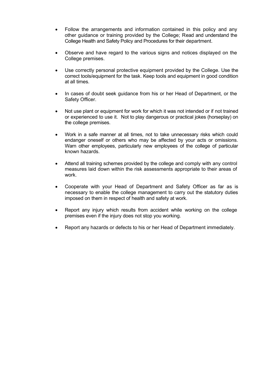- Follow the arrangements and information contained in this policy and any other guidance or training provided by the College; Read and understand the College Health and Safety Policy and Procedures for their department.
- Observe and have regard to the various signs and notices displayed on the College premises.
- Use correctly personal protective equipment provided by the College. Use the correct tools/equipment for the task. Keep tools and equipment in good condition at all times.
- In cases of doubt seek quidance from his or her Head of Department, or the Safety Officer.
- Not use plant or equipment for work for which it was not intended or if not trained or experienced to use it. Not to play dangerous or practical jokes (horseplay) on the college premises.
- Work in a safe manner at all times, not to take unnecessary risks which could endanger oneself or others who may be affected by your acts or omissions. Warn other employees, particularly new employees of the college of particular known hazards.
- Attend all training schemes provided by the college and comply with any control measures laid down within the risk assessments appropriate to their areas of work.
- Cooperate with your Head of Department and Safety Officer as far as is necessary to enable the college management to carry out the statutory duties imposed on them in respect of health and safety at work.
- Report any injury which results from accident while working on the college premises even if the injury does not stop you working.
- Report any hazards or defects to his or her Head of Department immediately.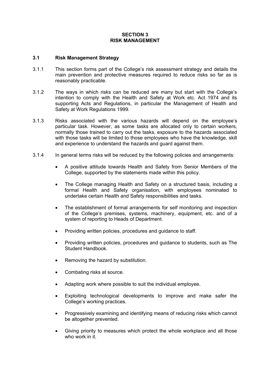# **SECTION 3 RISK MANAGEMENT**

# **3.1 Risk Management Strategy**

- 3.1.1 This section forms part of the College's risk assessment strategy and details the main prevention and protective measures required to reduce risks so far as is reasonably practicable.
- 3.1.2 The ways in which risks can be reduced are many but start with the College's intention to comply with the Health and Safety at Work etc. Act 1974 and its supporting Acts and Regulations, in particular the Management of Health and Safety at Work Regulations 1999.
- 3.1.3 Risks associated with the various hazards will depend on the employee's particular task. However, as some tasks are allocated only to certain workers, normally those trained to carry out the tasks, exposure to the hazards associated with those tasks will be limited to those employees who have the knowledge, skill and experience to understand the hazards and guard against them.
- 3.1.4 In general terms risks will be reduced by the following policies and arrangements:
	- A positive attitude towards Health and Safety from Senior Members of the College, supported by the statements made within this policy.
	- The College managing Health and Safety on a structured basis, including a formal Health and Safety organisation, with employees nominated to undertake certain Health and Safety responsibilities and tasks.
	- The establishment of formal arrangements for self monitoring and inspection of the College's premises, systems, machinery, equipment, etc. and of a system of reporting to Heads of Department.
	- Providing written policies, procedures and guidance to staff.
	- Providing written policies, procedures and guidance to students, such as The Student Handbook.
	- Removing the hazard by substitution.
	- Combating risks at source.
	- Adapting work where possible to suit the individual employee.
	- Exploiting technological developments to improve and make safer the College's working practices.
	- Progressively examining and identifying means of reducing risks which cannot be altogether prevented.
	- Giving priority to measures which protect the whole workplace and all those who work in it.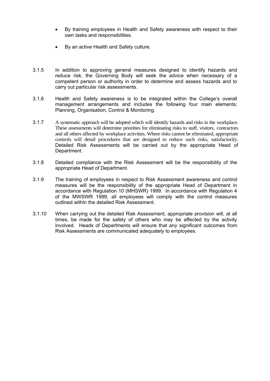- By training employees in Health and Safety awareness with respect to their own tasks and responsibilities.
- By an active Health and Safety culture.
- 3.1.5 In addition to approving general measures designed to identify hazards and reduce risk, the Governing Body will seek the advice when necessary of a competent person or authority in order to determine and assess hazards and to carry out particular risk assessments.
- 3.1.6 Health and Safety awareness is to be integrated within the College's overall management arrangements and includes the following four main elements; Planning, Organisation, Control & Monitoring.
- 3.1.7 A systematic approach will be adopted which will identify hazards and risks in the workplace. These assessments will determine priorities for eliminating risks to staff, visitors, contractors and all others affected by workplace activities. Where risks cannot be eliminated, appropriate controls will detail procedures that are designed to reduce such risks, satisfactorily. Detailed Risk Assessments will be carried out by the appropriate Head of Department.
- 3.1.8 Detailed compliance with the Risk Assessment will be the responsibility of the appropriate Head of Department.
- 3.1.9 The training of employees in respect to Risk Assessment awareness and control measures will be the responsibility of the appropriate Head of Department in accordance with Regulation 10 (MHSWR) 1999. In accordance with Regulation 4 of the MWSWR 1999, all employees will comply with the control measures outlined within the detailed Risk Assessment.
- 3.1.10 When carrying out the detailed Risk Assessment, appropriate provision will, at all times, be made for the safety of others who may be affected by the activity involved. Heads of Departments will ensure that any significant outcomes from Risk Assessments are communicated adequately to employees.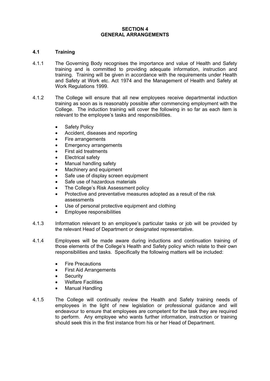#### **SECTION 4 GENERAL ARRANGEMENTS**

### **4.1 Training**

- 4.1.1 The Governing Body recognises the importance and value of Health and Safety training and is committed to providing adequate information, instruction and training. Training will be given in accordance with the requirements under Health and Safety at Work etc. Act 1974 and the Management of Health and Safety at Work Regulations 1999.
- 4.1.2 The College will ensure that all new employees receive departmental induction training as soon as is reasonably possible after commencing employment with the College. The induction training will cover the following in so far as each item is relevant to the employee's tasks and responsibilities.
	- Safety Policy
	- Accident, diseases and reporting
	- Fire arrangements
	- Emergency arrangements
	- First aid treatments
	- Electrical safety
	- Manual handling safety
	- Machinery and equipment
	- Safe use of display screen equipment
	- Safe use of hazardous materials
	- The College's Risk Assessment policy
	- Protective and preventative measures adopted as a result of the risk assessments
	- Use of personal protective equipment and clothing
	- Employee responsibilities
- 4.1.3 Information relevant to an employee's particular tasks or job will be provided by the relevant Head of Department or designated representative.
- 4.1.4 Employees will be made aware during inductions and continuation training of those elements of the College's Health and Safety policy which relate to their own responsibilities and tasks. Specifically the following matters will be included:
	- Fire Precautions
	- First Aid Arrangements
	- Security
	- Welfare Facilities
	- Manual Handling
- 4.1.5 The College will continually review the Health and Safety training needs of employees in the light of new legislation or professional guidance and will endeavour to ensure that employees are competent for the task they are required to perform. Any employee who wants further information, instruction or training should seek this in the first instance from his or her Head of Department.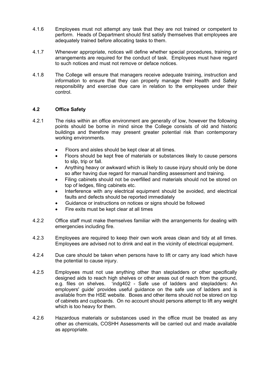- 4.1.6 Employees must not attempt any task that they are not trained or competent to perform. Heads of Department should first satisfy themselves that employees are adequately trained before allocating tasks to them.
- 4.1.7 Whenever appropriate, notices will define whether special procedures, training or arrangements are required for the conduct of task. Employees must have regard to such notices and must not remove or deface notices.
- 4.1.8 The College will ensure that managers receive adequate training, instruction and information to ensure that they can properly manage their Health and Safety responsibility and exercise due care in relation to the employees under their control.

# **4.2 Office Safety**

- 4.2.1 The risks within an office environment are generally of low, however the following points should be borne in mind since the College consists of old and historic buildings and therefore may present greater potential risk than contemporary working environments.
	- Floors and aisles should be kept clear at all times.
	- Floors should be kept free of materials or substances likely to cause persons to slip, trip or fall.
	- Anything heavy or awkward which is likely to cause injury should only be done so after having due regard for manual handling assessment and training.
	- Filing cabinets should not be overfilled and materials should not be stored on top of ledges, filing cabinets etc.
	- Interference with any electrical equipment should be avoided, and electrical faults and defects should be reported immediately
	- Guidance or instructions on notices or signs should be followed
	- Fire exits must be kept clear at all times
- 4.2.2 Office staff must make themselves familiar with the arrangements for dealing with emergencies including fire.
- 4.2.3 Employees are required to keep their own work areas clean and tidy at all times. Employees are advised not to drink and eat in the vicinity of electrical equipment.
- 4.2.4 Due care should be taken when persons have to lift or carry any load which have the potential to cause injury.
- 4.2.5 Employees must not use anything other than stepladders or other specifically designed aids to reach high shelves or other areas out of reach from the ground, e.g. files on shelves. 'indg402 - Safe use of ladders and stepladders: An employers' guide' provides useful guidance on the safe use of ladders and is available from the HSE website. Boxes and other items should not be stored on top of cabinets and cupboards. On no account should persons attempt to lift any weight which is too heavy for them.
- 4.2.6 Hazardous materials or substances used in the office must be treated as any other as chemicals, COSHH Assessments will be carried out and made available as appropriate.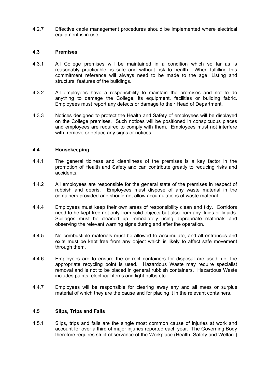4.2.7 Effective cable management procedures should be implemented where electrical equipment is in use.

#### **4.3 Premises**

- 4.3.1 All College premises will be maintained in a condition which so far as is reasonably practicable, is safe and without risk to health. When fulfilling this commitment reference will always need to be made to the age, Listing and structural features of the buildings.
- 4.3.2 All employees have a responsibility to maintain the premises and not to do anything to damage the College, its equipment, facilities or building fabric. Employees must report any defects or damage to their Head of Department.
- 4.3.3 Notices designed to protect the Health and Safety of employees will be displayed on the College premises. Such notices will be positioned in conspicuous places and employees are required to comply with them. Employees must not interfere with, remove or deface any signs or notices.

# **4.4 Housekeeping**

- 4.4.1 The general tidiness and cleanliness of the premises is a key factor in the promotion of Health and Safety and can contribute greatly to reducing risks and accidents.
- 4.4.2 All employees are responsible for the general state of the premises in respect of rubbish and debris. Employees must dispose of any waste material in the containers provided and should not allow accumulations of waste material.
- 4.4.4 Employees must keep their own areas of responsibility clean and tidy. Corridors need to be kept free not only from solid objects but also from any fluids or liquids. Spillages must be cleaned up immediately using appropriate materials and observing the relevant warning signs during and after the operation.
- 4.4.5 No combustible materials must be allowed to accumulate, and all entrances and exits must be kept free from any object which is likely to affect safe movement through them.
- 4.4.6 Employees are to ensure the correct containers for disposal are used, i.e. the appropriate recycling point is used. Hazardous Waste may require specialist removal and is not to be placed in general rubbish containers. Hazardous Waste includes paints, electrical items and light bulbs etc.
- 4.4.7 Employees will be responsible for clearing away any and all mess or surplus material of which they are the cause and for placing it in the relevant containers.

#### **4.5 Slips, Trips and Falls**

4.5.1 Slips, trips and falls are the single most common cause of injuries at work and account for over a third of major injuries reported each year. The Governing Body therefore requires strict observance of the Workplace (Health, Safety and Welfare)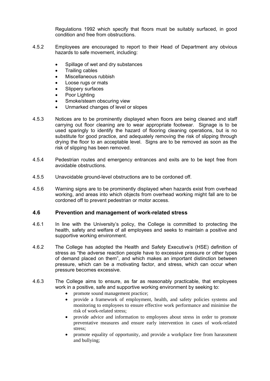Regulations 1992 which specify that floors must be suitably surfaced, in good condition and free from obstructions.

- 4.5.2 Employees are encouraged to report to their Head of Department any obvious hazards to safe movement, including:
	- Spillage of wet and dry substances
	- Trailing cables
	- Miscellaneous rubbish
	- Loose rugs or mats
	- Slippery surfaces
	- Poor Lighting
	- Smoke/steam obscuring view
	- Unmarked changes of level or slopes
- 4.5.3 Notices are to be prominently displayed when floors are being cleaned and staff carrying out floor cleaning are to wear appropriate footwear. Signage is to be used sparingly to identify the hazard of flooring cleaning operations, but is no substitute for good practice, and adequately removing the risk of slipping through drying the floor to an acceptable level. Signs are to be removed as soon as the risk of slipping has been removed.
- 4.5.4 Pedestrian routes and emergency entrances and exits are to be kept free from avoidable obstructions.
- 4.5.5 Unavoidable ground-level obstructions are to be cordoned off.
- 4.5.6 Warning signs are to be prominently displayed when hazards exist from overhead working, and areas into which objects from overhead working might fall are to be cordoned off to prevent pedestrian or motor access.

#### **4.6 Prevention and management of work-related stress**

- 4.6.1 In line with the University's policy, the College is committed to protecting the health, safety and welfare of all employees and seeks to maintain a positive and supportive working environment.
- 4.6.2 The College has adopted the Health and Safety Executive's (HSE) definition of stress as "the adverse reaction people have to excessive pressure or other types of demand placed on them", and which makes an important distinction between pressure, which can be a motivating factor, and stress, which can occur when pressure becomes excessive.
- 4.6.3 The College aims to ensure, as far as reasonably practicable, that employees work in a positive, safe and supportive working environment by seeking to:
	- promote sound management practice;
	- provide a framework of employment, health, and safety policies systems and monitoring to employees to ensure effective work performance and minimise the risk of work-related stress;
	- provide advice and information to employees about stress in order to promote preventative measures and ensure early intervention in cases of work-related stress;
	- promote equality of opportunity, and provide a workplace free from harassment and bullying;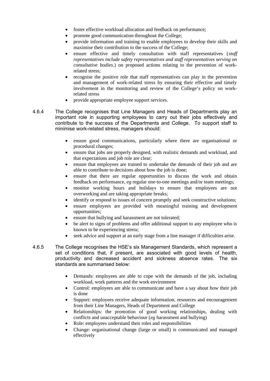- foster effective workload allocation and feedback on performance;
- promote good communication throughout the College;
- provide information and training to enable employees to develop their skills and maximise their contribution to the success of the College;
- ensure effective and timely consultation with staff representatives (*staff representatives include safety representatives and staff representatives serving on consultative bodies.*) on proposed actions relating to the prevention of workrelated stress;
- recognise the positive role that staff representatives can play in the prevention and management of work-related stress by ensuring their effective and timely involvement in the monitoring and review of the College's policy on workrelated stress
- provide appropriate employee support services.
- 4.6.4 The College recognises that Line Managers and Heads of Departments play an important role in supporting employees to carry out their jobs effectively and contribute to the success of the Departments and College. To support staff to minimise work-related stress, managers should:
	- ensure good communications, particularly where there are organisational or procedural changes;
	- ensure that jobs are properly designed, with realistic demands and workload, and that expectations and job role are clear;
	- ensure that employees are trained to undertake the demands of their job and are able to contribute to decisions about how the job is done;
	- ensure that there are regular opportunities to discuss the work and obtain feedback on performance, *eg* regular one-to-one meetings and/or team meetings;
	- monitor working hours and holidays to ensure that employees are not overworking and are taking appropriate breaks;
	- identify or respond to issues of concern promptly and seek constructive solutions;
	- ensure employees are provided with meaningful training and development opportunities;
	- ensure that bullying and harassment are not tolerated;
	- be alert to signs of problems and offer additional support to any employee who is known to be experiencing stress;
	- seek advice and support at an early stage from a line manager if difficulties arise.
- 4.6.5 The College recognises the HSE's six Management Standards, which represent a set of conditions that, if present, are associated with good levels of health, productivity and decreased accident and sickness absence rates. The six standards are summarised below:
	- Demands: employees are able to cope with the demands of the job, including workload, work patterns and the work environment
	- Control: employees are able to communicate and have a say about how their job is done
	- Support: employees receive adequate information, resources and encouragement from their Line Managers, Heads of Department and College
	- Relationships: the promotion of good working relationships, dealing with conflicts and unacceptable behaviour (*eg* harassment and bullying)
	- Role: employees understand their roles and responsibilities
	- Change: organisational change (large or small) is communicated and managed effectively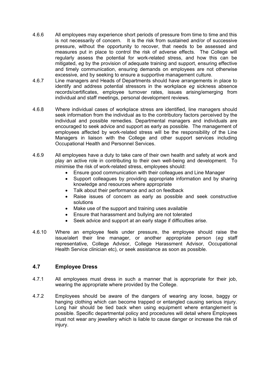- 4.6.6 All employees may experience short periods of pressure from time to time and this is not necessarily of concern. It is the risk from sustained and/or of successive pressure, without the opportunity to recover, that needs to be assessed and measures put in place to control the risk of adverse effects. The College will regularly assess the potential for work-related stress, and how this can be mitigated, *eg* by the provision of adequate training and support, ensuring effective and timely communication, ensuring demands on employees are not otherwise excessive, and by seeking to ensure a supportive management culture.
- 4.6.7 Line managers and Heads of Departments should have arrangements in place to identify and address potential stressors in the workplace *eg* sickness absence records/certificates, employee turnover rates, issues arising/emerging from individual and staff meetings, personal development reviews.
- 4.6.8 Where individual cases of workplace stress are identified, line managers should seek information from the individual as to the contributory factors perceived by the individual and possible remedies. Departmental managers and individuals are encouraged to seek advice and support as early as possible. The management of employees affected by work-related stress will be the responsibility of the Line Managers in liaison with the College and other support services including Occupational Health and Personnel Services.
- 4.6.9 All employees have a duty to take care of their own health and safety at work and play an active role in contributing to their own well-being and development. To minimise the risk of work-related stress, employees should:
	- Ensure good communication with their colleagues and Line Manager
	- Support colleagues by providing appropriate information and by sharing knowledge and resources where appropriate
	- Talk about their performance and act on feedback
	- Raise issues of concern as early as possible and seek constructive solutions
	- Make use of the support and training uses available
	- Ensure that harassment and bullying are not tolerated
	- Seek advice and support at an early stage if difficulties arise.
- 4.6.10 Where an employee feels under pressure, the employee should raise the issue/alert their line manager, or another appropriate person (*eg* staff representative, College Advisor, College Harassment Advisor, Occupational Health Service clinician etc), or seek assistance as soon as possible.

# **4.7 Employee Dress**

- 4.7.1 All employees must dress in such a manner that is appropriate for their job, wearing the appropriate where provided by the College.
- 4.7.2 Employees should be aware of the dangers of wearing any loose, baggy or hanging clothing which can become trapped or entangled causing serious injury. Long hair should be tied back when using equipment where entanglement is possible. Specific departmental policy and procedures will detail where Employees must not wear any jewellery which is liable to cause danger or increase the risk of injury.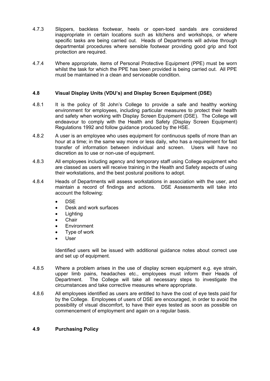- 4.7.3 Slippers, backless footwear, heels or open-toed sandals are considered inappropriate in certain locations such as kitchens and workshops, or where specific tasks are being carried out. Heads of Departments will advise through departmental procedures where sensible footwear providing good grip and foot protection are required.
- 4.7.4 Where appropriate, items of Personal Protective Equipment (PPE) must be worn whilst the task for which the PPE has been provided is being carried out. All PPE must be maintained in a clean and serviceable condition.

# **4.8 Visual Display Units (VDU's) and Display Screen Equipment (DSE)**

- 4.8.1 It is the policy of St John's College to provide a safe and healthy working environment for employees, including particular measures to protect their health and safety when working with Display Screen Equipment (DSE). The College will endeavour to comply with the Health and Safety (Display Screen Equipment) Regulations 1992 and follow guidance produced by the HSE.
- 4.8.2 A user is an employee who uses equipment for continuous spells of more than an hour at a time; in the same way more or less daily, who has a requirement for fast transfer of information between individual and screen. Users will have no discretion as to use or non-use of equipment.
- 4.8.3 All employees including agency and temporary staff using College equipment who are classed as users will receive training in the Health and Safety aspects of using their workstations, and the best postural positions to adopt.
- 4.8.4 Heads of Departments will assess workstations in association with the user, and maintain a record of findings and actions. DSE Assessments will take into account the following:
	- $\bullet$  DSE
	- Desk and work surfaces
	- Lighting
	- **•** Chair
	- Environment
	- Type of work
	- User

Identified users will be issued with additional guidance notes about correct use and set up of equipment.

- 4.8.5 Where a problem arises in the use of display screen equipment e.g. eye strain, upper limb pains, headaches etc., employees must inform their Heads of Department. The College will take all necessary steps to investigate the circumstances and take corrective measures where appropriate.
- 4.8.6 All employees identified as users are entitled to have the cost of eye tests paid for by the College. Employees of users of DSE are encouraged, in order to avoid the possibility of visual discomfort, to have their eyes tested as soon as possible on commencement of employment and again on a regular basis.

# **4.9 Purchasing Policy**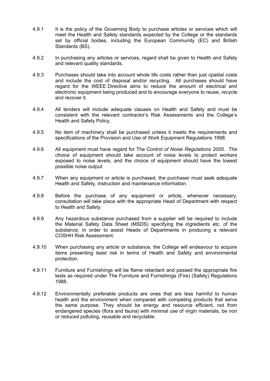- 4.9.1 It is the policy of the Governing Body to purchase articles or services which will meet the Health and Safety standards expected by the College or the standards set by official bodies, including the European Community (EC) and British Standards (BS).
- 4.9.2 In purchasing any articles or services, regard shall be given to Health and Safety and relevant quality standards.
- 4.9.3 Purchases should take into account whole life costs rather than just cpaitial costs and include the cost of disposal and/or recycling. All purchases should have regard for the WEEE Directive aims to reduce the amount of electrical and electronic equipment being produced and to encourage everyone to reuse, recycle and recover it.
- 4.9.4 All tenders will include adequate clauses on Health and Safety and must be consistent with the relevant contractor's Risk Assessments and the College's Health and Safety Policy.
- 4.9.5 No item of machinery shall be purchased unless it meets the requirements and specifications of the Provision and Use of Work Equipment Regulations 1998.
- 4.9.6 All equipment must have regard for The *Control of Noise Regulations 2005*. The choice of equipment should take account of noise levels to protect workers exposed to noise levels, and the choice of equipment should have the lowest possible noise output.
- 4.9.7 When any equipment or article is purchased, the purchaser must seek adequate Health and Safety, instruction and maintenance information.
- 4.9.8 Before the purchase of any equipment or article, whenever necessary, consultation will take place with the appropriate Head of Department with respect to Health and Safety.
- 4.9.9 Any hazardous substance purchased from a supplier will be required to include the Material Safety Data Sheet (MSDS) specifying the ingredients etc. of the substance, in order to assist Heads of Departments in producing a relevant COSHH Risk Assessment.
- 4.9.10 When purchasing any article or substance, the College will endeavour to acquire items presenting least risk in terms of Health and Safety and environmental protection.
- 4.9.11 Furniture and Furnishings will be flame retardant and passed the appropriate fire tests as required under The Furniture and Furnishings (Fire) (Safety) Regulations 1988.
- 4.9.12 Environmentally preferable products are ones that are less harmful to human health and the environment when compared with competing products that serve the same purpose. They should be energy and resource efficient, not from endangered species (flora and fauna) with minimal use of virgin materials, be non or reduced polluting, reusable and recyclable.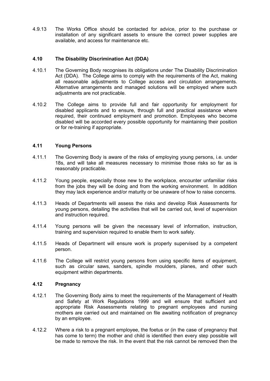4.9.13 The Works Office should be contacted for advice, prior to the purchase or installation of any significant assets to ensure the correct power supplies are available, and access for maintenance etc.

# **4.10 The Disability Discrimination Act (DDA)**

- 4.10.1 The Governing Body recognises its obligations under The Disability Discrimination Act (DDA). The College aims to comply with the requirements of the Act, making all reasonable adjustments to College access and circulation arrangements. Alternative arrangements and managed solutions will be employed where such adjustments are not practicable.
- 4.10.2 The College aims to provide full and fair opportunity for employment for disabled applicants and to ensure, through full and practical assistance where required, their continued employment and promotion. Employees who become disabled will be accorded every possible opportunity for maintaining their position or for re-training if appropriate.

# **4.11 Young Persons**

- 4.11.1 The Governing Body is aware of the risks of employing young persons, i.e. under 18s, and will take all measures necessary to minimise those risks so far as is reasonably practicable.
- 4.11.2 Young people, especially those new to the workplace, encounter unfamiliar risks from the jobs they will be doing and from the working environment. In addition they may lack experience and/or maturity or be unaware of how to raise concerns.
- 4.11.3 Heads of Departments will assess the risks and develop Risk Assessments for young persons, detailing the activities that will be carried out, level of supervision and instruction required.
- 4.11.4 Young persons will be given the necessary level of information, instruction, training and supervision required to enable them to work safely.
- 4.11.5 Heads of Department will ensure work is properly supervised by a competent person.
- 4.11.6 The College will restrict young persons from using specific items of equipment, such as circular saws, sanders, spindle moulders, planes, and other such equipment within departments.

# **4.12 Pregnancy**

- 4.12.1 The Governing Body aims to meet the requirements of the Management of Health and Safety at Work Regulations 1999 and will ensure that sufficient and appropriate Risk Assessments relating to pregnant employees and nursing mothers are carried out and maintained on file awaiting notification of pregnancy by an employee.
- 4.12.2 Where a risk to a pregnant employee, the foetus or (in the case of pregnancy that has come to term) the mother and child is identified then every step possible will be made to remove the risk. In the event that the risk cannot be removed then the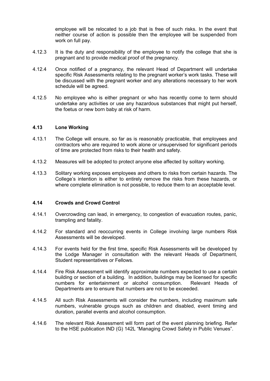employee will be relocated to a job that is free of such risks. In the event that neither course of action is possible then the employee will be suspended from work on full pay.

- 4.12.3 It is the duty and responsibility of the employee to notify the college that she is pregnant and to provide medical proof of the pregnancy.
- 4.12.4 Once notified of a pregnancy, the relevant Head of Department will undertake specific Risk Assessments relating to the pregnant worker's work tasks. These will be discussed with the pregnant worker and any alterations necessary to her work schedule will be agreed.
- 4.12.5 No employee who is either pregnant or who has recently come to term should undertake any activities or use any hazardous substances that might put herself, the foetus or new born baby at risk of harm.

#### **4.13 Lone Working**

- 4.13.1 The College will ensure, so far as is reasonably practicable, that employees and contractors who are required to work alone or unsupervised for significant periods of time are protected from risks to their health and safety.
- 4.13.2 Measures will be adopted to protect anyone else affected by solitary working.
- 4.13.3 Solitary working exposes employees and others to risks from certain hazards. The College's intention is either to entirely remove the risks from these hazards, or where complete elimination is not possible, to reduce them to an acceptable level.

#### **4.14 Crowds and Crowd Control**

- 4.14.1 Overcrowding can lead, in emergency, to congestion of evacuation routes, panic, trampling and fatality.
- 4.14.2 For standard and reoccurring events in College involving large numbers Risk Assessments will be developed.
- 4.14.3 For events held for the first time, specific Risk Assessments will be developed by the Lodge Manager in consultation with the relevant Heads of Department, Student representatives or Fellows.
- 4.14.4 Fire Risk Assessment will identify approximate numbers expected to use a certain building or section of a building. In addition, buildings may be licensed for specific numbers for entertainment or alcohol consumption. Relevant Heads of Departments are to ensure that numbers are not to be exceeded.
- 4.14.5 All such Risk Assessments will consider the numbers, including maximum safe numbers, vulnerable groups such as children and disabled, event timing and duration, parallel events and alcohol consumption.
- 4.14.6 The relevant Risk Assessment will form part of the event planning briefing. Refer to the HSE publication IND (G) 142L "Managing Crowd Safety in Public Venues".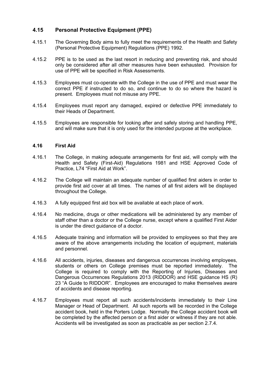# **4.15 Personal Protective Equipment (PPE)**

- 4.15.1 The Governing Body aims to fully meet the requirements of the Health and Safety (Personal Protective Equipment) Regulations (PPE) 1992.
- 4.15.2 PPE is to be used as the last resort in reducing and preventing risk, and should only be considered after all other measures have been exhausted. Provision for use of PPE will be specified in Risk Assessments.
- 4.15.3 Employees must co-operate with the College in the use of PPE and must wear the correct PPE if instructed to do so, and continue to do so where the hazard is present. Employees must not misuse any PPE.
- 4.15.4 Employees must report any damaged, expired or defective PPE immediately to their Heads of Department.
- 4.15.5 Employees are responsible for looking after and safely storing and handling PPE, and will make sure that it is only used for the intended purpose at the workplace.

# **4.16 First Aid**

- 4.16.1 The College, in making adequate arrangements for first aid, will comply with the Health and Safety (First-Aid) Regulations 1981 and HSE Approved Code of Practice, L74 "First Aid at Work".
- 4.16.2 The College will maintain an adequate number of qualified first aiders in order to provide first aid cover at all times. The names of all first aiders will be displayed throughout the College.
- 4.16.3 A fully equipped first aid box will be available at each place of work.
- 4.16.4 No medicine, drugs or other medications will be administered by any member of staff other than a doctor or the College nurse, except where a qualified First Aider is under the direct guidance of a doctor.
- 4.16.5 Adequate training and information will be provided to employees so that they are aware of the above arrangements including the location of equipment, materials and personnel.
- 4.16.6 All accidents, injuries, diseases and dangerous occurrences involving employees, students or others on College premises must be reported immediately. The College is required to comply with the Reporting of Injuries, Diseases and Dangerous Occurrences Regulations 2013 (RIDDOR) and HSE guidance HS (R) 23 "A Guide to RIDDOR". Employees are encouraged to make themselves aware of accidents and disease reporting.
- 4.16.7 Employees must report all such accidents/incidents immediately to their Line Manager or Head of Department. All such reports will be recorded in the College accident book, held in the Porters Lodge. Normally the College accident book will be completed by the affected person or a first aider or witness if they are not able. Accidents will be investigated as soon as practicable as per section 2.7.4.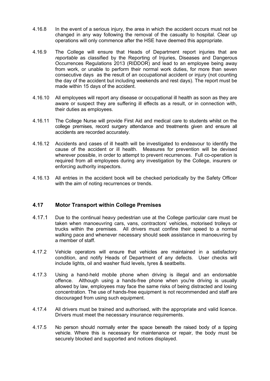- 4.16.8 In the event of a serious injury, the area in which the accident occurs must not be changed in any way following the removal of the casualty to hospital. Clear up operations will only commence after the HSE have deemed this appropriate.
- 4.16.9 The College will ensure that Heads of Department report injuries that are *reportable* as classified by the Reporting of Injuries, Diseases and Dangerous Occurrences Regulations 2013 (RIDDOR) and lead to an employee being away from work, or unable to perform their normal work duties, for more than seven consecutive days as the result of an occupational accident or injury (not counting the day of the accident but including weekends and rest days). The report must be made within 15 days of the accident.
- 4.16.10 All employees will report any disease or occupational ill health as soon as they are aware or suspect they are suffering ill effects as a result, or in connection with, their duties as employees.
- 4.16.11 The College Nurse will provide First Aid and medical care to students whilst on the college premises, record surgery attendance and treatments given and ensure all accidents are recorded accurately.
- 4.16.12 Accidents and cases of ill health will be investigated to endeavour to identify the cause of the accident or ill health. Measures for prevention will be devised wherever possible, in order to attempt to prevent recurrences. Full co-operation is required from all employees during any investigation by the College, insurers or enforcing authority inspectors.
- 4.16.13 All entries in the accident book will be checked periodically by the Safety Officer with the aim of noting recurrences or trends.

# **4.17 Motor Transport within College Premises**

- 4.17.1 Due to the continual heavy pedestrian use at the College particular care must be taken when manoeuvring cars, vans, contractors' vehicles, motorised trolleys or trucks within the premises. All drivers must confine their speed to a normal walking pace and whenever necessary should seek assistance in manoeuvring by a member of staff.
- 4.17.2 Vehicle operators will ensure that vehicles are maintained in a satisfactory condition, and notify Heads of Department of any defects. User checks will include lights, oil and washer fluid levels, tyres & seatbelts.
- 4.17.3 Using a hand-held mobile phone when driving is illegal and an endorsable offence. Although using a hands-free phone when you're driving is usually allowed by law, employees may face the same risks of being distracted and losing concentration. The use of hands-free equipment is not recommended and staff are discouraged from using such equipment.
- 4.17.4 All drivers must be trained and authorised, with the appropriate and valid licence. Drivers must meet the necessary insurance requirements.
- 4.17.5 No person should normally enter the space beneath the raised body of a tipping vehicle. Where this is necessary for maintenance or repair, the body must be securely blocked and supported and notices displayed.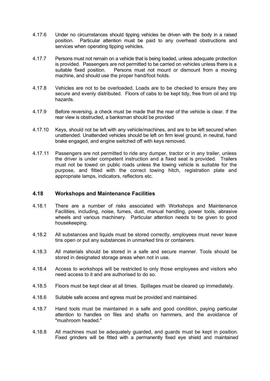- 4.17.6 Under no circumstances should tipping vehicles be driven with the body in a raised position. Particular attention must be paid to any overhead obstructions and services when operating tipping vehicles.
- 4.17.7 Persons must not remain on a vehicle that is being loaded, unless adequate protection is provided. Passengers are not permitted to be carried on vehicles unless there is a suitable fixed position. Persons must not mount or dismount from a moving machine, and should use the proper hand/foot holds.
- 4.17.8 Vehicles are not to be overloaded. Loads are to be checked to ensure they are secure and evenly distributed. Floors of cabs to be kept tidy, free from oil and trip hazards.
- 4.17.9 Before reversing, a check must be made that the rear of the vehicle is clear. If the rear view is obstructed, a banksman should be provided
- 4.17.10 Keys, should not be left with any vehicle/machines, and are to be left secured when unattended. Unattended vehicles should be left on firm level ground, in neutral, hand brake engaged, and engine switched off with keys removed.
- 4.17.11 Passengers are not permitted to ride any dumper, tractor or in any trailer, unless the driver is under competent instruction and a fixed seat is provided. Trailers must not be towed on public roads unless the towing vehicle is suitable for the purpose, and fitted with the correct towing hitch, registration plate and appropriate lamps, indicators, reflectors etc.

#### **4.18 Workshops and Maintenance Facilities**

- 4.18.1 There are a number of risks associated with Workshops and Maintenance Facilities, including, noise, fumes, dust, manual handling, power tools, abrasive wheels and various machinery. Particular attention needs to be given to good housekeeping.
- 4.18.2 All substances and liquids must be stored correctly, employees must never leave tins open or put any substances in unmarked tins or containers.
- 4.18.3 All materials should be stored in a safe and secure manner. Tools should be stored in designated storage areas when not in use.
- 4.18.4 Access to workshops will be restricted to only those employees and visitors who need access to it and are authorised to do so.
- 4.18.5 Floors must be kept clear at all times. Spillages must be cleared up immediately.
- 4.18.6 Suitable safe access and egress must be provided and maintained.
- 4.18.7 Hand tools must be maintained in a safe and good condition, paying particular attention to handles on files and shafts on hammers, and the avoidance of "mushroom headed."
- 4.18.8 All machines must be adequately guarded, and guards must be kept in position. Fixed grinders will be fitted with a permanently fixed eye shield and maintained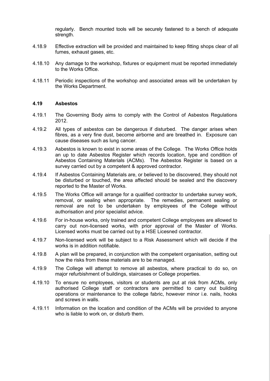regularly. Bench mounted tools will be securely fastened to a bench of adequate strength.

- 4.18.9 Effective extraction will be provided and maintained to keep fitting shops clear of all fumes, exhaust gases, etc.
- 4.18.10 Any damage to the workshop, fixtures or equipment must be reported immediately to the Works Office.
- 4.18.11 Periodic inspections of the workshop and associated areas will be undertaken by the Works Department.

#### **4.19 Asbestos**

- 4.19.1 The Governing Body aims to comply with the Control of Asbestos Regulations 2012.
- 4.19.2 All types of asbestos can be dangerous if disturbed. The danger arises when fibres, as a very fine dust, become airborne and are breathed in. Exposure can cause diseases such as lung cancer.
- 4.19.3 Asbestos is known to exist in some areas of the College. The Works Office holds an up to date Asbestos Register which records location, type and condition of Asbestos Containing Materials (ACMs). The Asbestos Register is based on a survey carried out by a competent & approved contractor.
- 4.19.4 If Asbestos Containing Materials are, or believed to be discovered, they should not be disturbed or touched, the area affected should be sealed and the discovery reported to the Master of Works.
- 4.19.5 The Works Office will arrange for a qualified contractor to undertake survey work, removal, or sealing when appropriate. The remedies, permanent sealing or removal are not to be undertaken by employees of the College without authorisation and prior specialist advice.
- 4.19.6 For in-house works, only trained and competent College employees are allowed to carry out non-licensed works, with prior approval of the Master of Works. Licensed works must be carried out by a HSE Licesned contractor.
- 4.19.7 Non-licensed work will be subject to a Risk Assessment which will decide if the works is in addition notifiable.
- 4.19.8 A plan will be prepared, in conjunction with the competent organisation, setting out how the risks from these materials are to be managed.
- 4.19.9 The College will attempt to remove all asbestos, where practical to do so, on major refurbishment of buildings, staircases or College properties.
- 4.19.10 To ensure no employees, visitors or students are put at risk from ACMs, only authorised College staff or contractors are permitted to carry out building operations or maintenance to the college fabric, however minor i.e. nails, hooks and screws in walls.
- 4.19.11 Information on the location and condition of the ACMs will be provided to anyone who is liable to work on, or disturb them.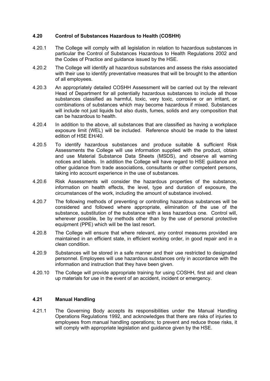# **4.20 Control of Substances Hazardous to Health (COSHH)**

- 4.20.1 The College will comply with all legislation in relation to hazardous substances in particular the Control of Substances Hazardous to Health Regulations 2002 and the Codes of Practice and guidance issued by the HSE.
- 4.20.2 The College will identify all hazardous substances and assess the risks associated with their use to identify preventative measures that will be brought to the attention of all employees.
- 4.20.3 An appropriately detailed COSHH Assessment will be carried out by the relevant Head of Department for all potentially hazardous substances to include all those substances classified as harmful, toxic, very toxic, corrosive or an irritant, or combinations of substances which may become hazardous if mixed. Substances will include not just liquids but also dusts, fumes, solids and any composition that can be hazardous to health.
- 4.20.4 In addition to the above, all substances that are classified as having a workplace exposure limit (WEL) will be included. Reference should be made to the latest edition of HSE EH/40.
- 4.20.5 To identify hazardous substances and produce suitable & sufficient Risk Assessments the College will use information supplied with the product, obtain and use Material Substance Data Sheets (MSDS), and observe all warning notices and labels. In addition the College will have regard to HSE guidance and other guidance from trade associations, consultants or other competent persons, taking into account experience in the use of substances.
- 4.20.6 Risk Assessments will consider the hazardous properties of the substance, information on health effects, the level, type and duration of exposure, the circumstances of the work, including the amount of substance involved.
- 4.20.7 The following methods of preventing or controlling hazardous substances will be considered and followed where appropriate, elimination of the use of the substance, substitution of the substance with a less hazardous one. Control will, wherever possible, be by methods other than by the use of personal protective equipment (PPE) which will be the last resort.
- 4.20.8 The College will ensure that where relevant, any control measures provided are maintained in an efficient state, in efficient working order, in good repair and in a clean condition.
- 4.20.9 Substances will be stored in a safe manner and their use restricted to designated personnel. Employees will use hazardous substances only in accordance with the information and instruction that they have been given.
- 4.20.10 The College will provide appropriate training for using COSHH, first aid and clean up materials for use in the event of an accident, incident or emergency.

# **4.21 Manual Handling**

4.21.1 The Governing Body accepts its responsibilities under the Manual Handling Operations Regulations 1992, and acknowledges that there are risks of injuries to employees from manual handling operations; to prevent and reduce those risks, it will comply with appropriate legislation and guidance given by the HSE.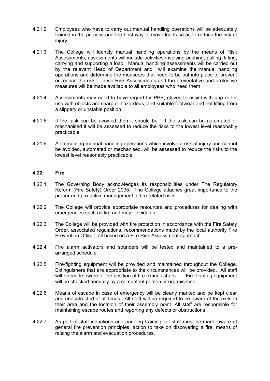- 4.21.2 Employees who have to carry out manual handling operations will be adequately trained in the process and the best way to move loads so as to reduce the risk of injury.
- 4.21.3 The College will identify manual handling operations by the means of Risk Assessments, assessments will include activities involving pushing, pulling, lifting, carrying and supporting a load. Manual handling assessments will be carried out by the relevant Head of Department and will examine the manual handling operations and determine the measures that need to be put into place to prevent or reduce the risk. These Risk Assessments and the preventative and protective measures will be made available to all employees who need them
- 4.21.4 Assessments may need to have regard for PPE; gloves to assist with grip or for use with objects are sharp or hazardous, and suitable footwear and not lifting from a slippery or unstable position
- 4.21.5 If the task can be avoided then it should be. If the task can be automated or mechanised it will be assessed to reduce the risks to the lowest level reasonably practicable.
- 4.21.6 All remaining manual handling operations which involve a risk of injury and cannot be avoided, automated or mechanised, will be assessed to reduce the risks to the lowest level reasonably practicable.

#### **4.22 Fire**

- 4.22.1 The Governing Body acknowledges its responsibilities under The Regulatory Reform (Fire Safety) Order 2005. The College attaches great importance to the proper and pro-active management of fire-related risks.
- 4.22.2 The College will provide appropriate resources and procedures for dealing with emergencies such as fire and major incidents.
- 4.22.3 The College will be provided with fire protection in accordance with the Fire Safety Order, associated regulations, recommendations made by the local authority Fire Prevention Officer, all based on a Fire Risk Assessment approach.
- 4.22.4 Fire alarm activators and sounders will be tested and maintained to a prearranged schedule.
- 4.22.5 Fire-fighting equipment will be provided and maintained throughout the College. Extinguishers that are appropriate to the circumstances will be provided. All staff will be made aware of the position of fire extinguishers. Fire-fighting equipment will be checked annually by a competent person or organisation.
- 4.22.6 Means of escape in case of emergency will be clearly marked and be kept clear and unobstructed at all times. All staff will be required to be aware of the exits in their area and the location of their assembly point. All staff are responsible for maintaining escape routes and reporting any defects or obstructions.
- 4.22.7 As part of staff inductions and ongoing training, all staff must be made aware of general fire prevention principles, action to take on discovering a fire, means of raising the alarm and evacuation procedures.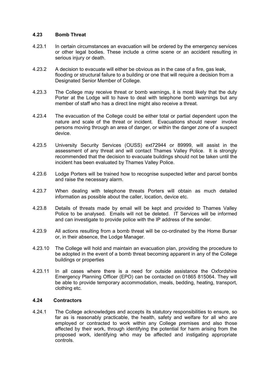# **4.23 Bomb Threat**

- 4.23.1 In certain circumstances an evacuation will be ordered by the emergency services or other legal bodies. These include a crime scene or an accident resulting in serious injury or death.
- 4.23.2 A decision to evacuate will either be obvious as in the case of a fire, gas leak, flooding or structural failure to a building or one that will require a decision from a Designated Senior Member of College.
- 4.23.3 The College may receive threat or bomb warnings, it is most likely that the duty Porter at the Lodge will to have to deal with telephone bomb warnings but any member of staff who has a direct line might also receive a threat.
- 4.23.4 The evacuation of the College could be either total or partial dependent upon the nature and scale of the threat or incident. Evacuations should never involve persons moving through an area of danger, or within the danger zone of a suspect device.
- 4.23.5 University Security Services (OUSS) ext72944 or 89999, will assist in the assessment of any threat and will contact Thames Valley Police. It is strongly recommended that the decision to evacuate buildings should not be taken until the incident has been evaluated by Thames Valley Police.
- 4.23.6 Lodge Porters will be trained how to recognise suspected letter and parcel bombs and raise the necessary alarm.
- 4.23.7 When dealing with telephone threats Porters will obtain as much detailed information as possible about the caller, location, device etc.
- 4.23.8 Details of threats made by email will be kept and provided to Thames Valley Police to be analysed. Emails will not be deleted. IT Services will be informed and can investigate to provide police with the IP address of the sender.
- 4.23.9 All actions resulting from a bomb threat will be co-ordinated by the Home Bursar or, in their absence, the Lodge Manager.
- 4.23.10 The College will hold and maintain an evacuation plan, providing the procedure to be adopted in the event of a bomb threat becoming apparent in any of the College buildings or properties
- 4.23.11 In all cases where there is a need for outside assistance the Oxfordshire Emergency Planning Officer (EPO) can be contacted on 01865 815064. They will be able to provide temporary accommodation, meals, bedding, heating, transport, clothing etc.

### **4.24 Contractors**

4.24.1 The College acknowledges and accepts its statutory responsibilities to ensure, so far as is reasonably practicable, the health, safety and welfare for all who are employed or contracted to work within any College premises and also those affected by their work, through identifying the potential for harm arising from the proposed work, identifying who may be affected and instigating appropriate controls.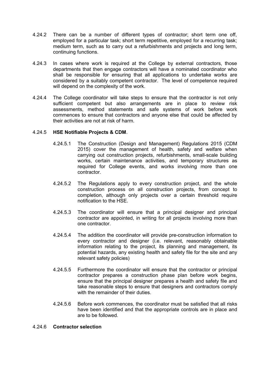- 4.24.2 There can be a number of different types of contractor; short term one off, employed for a particular task; short term repetitive, employed for a recurring task; medium term, such as to carry out a refurbishments and projects and long term, continuing functions.
- 4.24.3 In cases where work is required at the College by external contractors, those departments that then engage contractors will have a nominated coordinator who shall be responsible for ensuring that all applications to undertake works are considered by a suitably competent contractor. The level of competence required will depend on the complexity of the work.
- 4.24.4 The College coordinator will take steps to ensure that the contractor is not only sufficient competent but also arrangements are in place to review risk assessments, method statements and safe systems of work before work commences to ensure that contractors and anyone else that could be affected by their activities are not at risk of harm.

# 4.24.5 **HSE Notifiable Projects & CDM**.

- 4.24.5.1 The Construction (Design and Management) Regulations 2015 (CDM 2015) cover the management of health, safety and welfare when carrying out construction projects, refurbishments, small-scale building works, certain maintenance activities, and temporary structures as required for College events, and works involving more than one contractor.
- 4.24.5.2 The Regulations apply to every construction project, and the whole construction process on all construction projects, from concept to completion, although only projects over a certain threshold require notification to the HSE.
- 4.24.5.3 The coordinator will ensure that a principal designer and principal contractor are appointed, in writing for all projects involving more than one contractor.
- 4.24.5.4 The addition the coordinator will provide pre-construction information to every contractor and designer (i.e. relevant, reasonably obtainable information relating to the project, its planning and management, its potential hazards, any existing health and safety file for the site and any relevant safety policies)
- 4.24.5.5 Furthermore the coordinator will ensure that the contractor or principal contractor prepares a construction phase plan before work begins, ensure that the principal designer prepares a health and safety file and take reasonable steps to ensure that designers and contractors comply with the remainder of their duties.
- 4.24.5.6 Before work commences, the coordinator must be satisfied that all risks have been identified and that the appropriate controls are in place and are to be followed.

#### 4.24.6 **Contractor selection**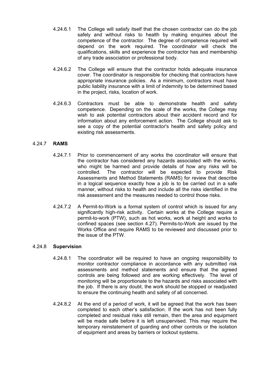- 4.24.6.1 The College will satisfy itself that the chosen contractor can do the job safely and without risks to health by making enquiries about the competence of the contractor. The degree of competence required will depend on the work required. The coordinator will check the qualifications, skills and experience the contractor has and membership of any trade association or professional body.
- 4.24.6.2 The College will ensure that the contractor holds adequate insurance cover. The coordinator is responsible for checking that contractors have appropriate insurance policies. As a minimum, contractors must have public liability insurance with a limit of indemnity to be determined based in the project, risks, location of work.
- 4.24.6.3 Contractors must be able to demonstrate health and safety competence. Depending on the scale of the works, the College may wish to ask potential contractors about their accident record and for information about any enforcement action. The College should ask to see a copy of the potential contractor's health and safety policy and existing risk assessments.

# 4.24.7 **RAMS**

- 4.24.7.1 Prior to commencement of any works the coordinator will ensure that the contractor has considered any hazards associated with the works, who might be harmed and provide details of how any risks will be controlled. The contractor will be expected to provide Risk Assessments and Method Statements (RAMS) for review that describe in a logical sequence exactly how a job is to be carried out in a safe manner, without risks to health and include all the risks identified in the risk assessment and the measures needed to control those risks.
- 4.24.7.2 A Permit-to-Work is a formal system of control which is issued for any significantly high-risk activity. Certain works at the College require a permit-to-work (PTW), such as hot works, work at height and works to confined spaces (see section 4.27). Permits-to-Work are issued by the Works Office and require RAMS to be reviewed and discussed prior to the issue of the PTW.

# 4.24.8 **Supervision**

- 4.24.8.1 The coordinator will be required to have an ongoing responsibility to monitor contractor compliance in accordance with any submitted risk assessments and method statements and ensure that the agreed controls are being followed and are working effectively. The level of monitoring will be proportionate to the hazards and risks associated with the job. If there is any doubt, the work should be stopped or readjusted to ensure the continuing health and safety of all concerned.
- 4.24.8.2 At the end of a period of work, it will be agreed that the work has been completed to each other's satisfaction. If the work has not been fully completed and residual risks still remain, then the area and equipment will be made safe before it is left unsupervised. This may require the temporary reinstatement of guarding and other controls or the isolation of equipment and areas by barriers or lockout systems.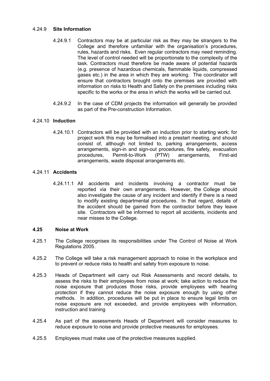### 4.24.9 **Site Information**

- 4.24.9.1 Contractors may be at particular risk as they may be strangers to the College and therefore unfamiliar with the organisation's procedures, rules, hazards and risks. Even regular contractors may need reminding. The level of control needed will be proportionate to the complexity of the task. Contractors must therefore be made aware of potential hazards (e.g. presence of hazardous chemicals, flammable liquids, compressed gases etc.) in the area in which they are working. The coordinator will ensure that contractors brought onto the premises are provided with information on risks to Health and Safety on the premises including risks specific to the works or the area in which the works will be carried out.
- 4.24.9.2 In the case of CDM projects the information will generally be provided as part of the Pre-construction Information.

# 4.24.10 **Induction**

4.24.10.1 Contractors will be provided with an induction prior to starting work; for project work this may be formalised into a prestart meeting, and should consist of, although not limited to, parking arrangements, access arrangements, sign-in and sign-out procedures, fire safety, evacuation procedures, Permit-to-Work (PTW) arrangements, First-aid arrangements, waste disposal arrangements etc.

# 4.24.11 **Accidents**

4.24.11.1 All accidents and incidents involving a contractor must be reported via their own arrangements. However, the College should also investigate the cause of any incident and identify if there is a need to modify existing departmental procedures. In that regard, details of the accident should be gained from the contractor before they leave site. Contractors will be informed to report all accidents, incidents and near misses to the College.

#### **4.25 Noise at Work**

- 4.25.1 The College recognises its responsibilities under The Control of Noise at Work Regulations 2005.
- 4.25.2 The College will take a risk management approach to noise in the workplace and to prevent or reduce risks to health and safety from exposure to noise.
- 4.25.3 Heads of Department will carry out Risk Assessments and record details, to assess the risks to their employees from noise at work; take action to reduce the noise exposure that produces those risks, provide employees with hearing protection if they cannot reduce the noise exposure enough by using other methods. In addition, procedures will be put in place to ensure legal limits on noise exposure are not exceeded, and provide employees with information, instruction and training
- 4.25.4 As part of the assessments Heads of Department will consider measures to reduce exposure to noise and provide protective measures for employees.
- 4.25.5 Employees must make use of the protective measures supplied.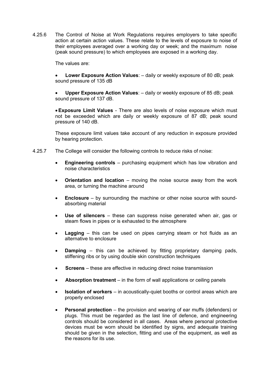4.25.6 The Control of Noise at Work Regulations requires employers to take specific action at certain action values. These relate to the levels of exposure to noise of their employees averaged over a working day or week; and the maximum noise (peak sound pressure) to which employees are exposed in a working day.

The values are:

 **Lower Exposure Action Values**: – daily or weekly exposure of 80 dB; peak sound pressure of 135 dB

 **Upper Exposure Action Values**: – daily or weekly exposure of 85 dB; peak sound pressure of 137 dB.

 **Exposure Limit Values** - There are also levels of noise exposure which must not be exceeded which are daily or weekly exposure of 87 dB; peak sound pressure of 140 dB.

These exposure limit values take account of any reduction in exposure provided by hearing protection.

- 4.25.7 The College will consider the following controls to reduce risks of noise:
	- **Engineering controls** purchasing equipment which has low vibration and noise characteristics
	- **Orientation and location** moving the noise source away from the work area, or turning the machine around
	- **Enclosure** by surrounding the machine or other noise source with soundabsorbing material
	- **Use of silencers** these can suppress noise generated when air, gas or steam flows in pipes or is exhausted to the atmosphere
	- **Lagging** this can be used on pipes carrying steam or hot fluids as an alternative to enclosure
	- **Damping** this can be achieved by fitting proprietary damping pads, stiffening ribs or by using double skin construction techniques
	- **Screens** these are effective in reducing direct noise transmission
	- **Absorption treatment**  in the form of wall applications or ceiling panels
	- **Isolation of workers**  in acoustically-quiet booths or control areas which are properly enclosed
	- **Personal protection**  the provision and wearing of ear muffs (defenders) or plugs. This must be regarded as the last line of defence, and engineering controls should be considered in all cases. Areas where personal protective devices must be worn should be identified by signs, and adequate training should be given in the selection, fitting and use of the equipment, as well as the reasons for its use.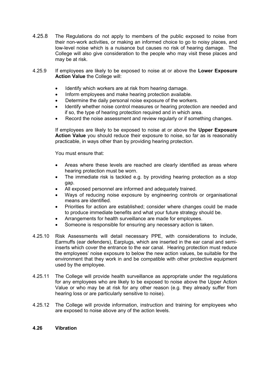- 4.25.8 The Regulations do not apply to members of the public exposed to noise from their non-work activities, or making an informed choice to go to noisy places, and low-level noise which is a nuisance but causes no risk of hearing damage. The College will also give consideration to the people who may visit these places and may be at risk.
- 4.25.9 If employees are likely to be exposed to noise at or above the **Lower Exposure Action Value** the College will:
	- Identify which workers are at risk from hearing damage.
	- Inform employees and make hearing protection available.
	- Determine the daily personal noise exposure of the workers.
	- Identify whether noise control measures or hearing protection are needed and if so, the type of hearing protection required and in which area.
	- Record the noise assessment and review regularly or if something changes.

If employees are likely to be exposed to noise at or above the **Upper Exposure Action Value** you should reduce their exposure to noise, so far as is reasonably practicable, in ways other than by providing hearing protection.

You must ensure that:

- Areas where these levels are reached are clearly identified as areas where hearing protection must be worn.
- The immediate risk is tackled e.g. by providing hearing protection as a stop gap.
- All exposed personnel are informed and adequately trained.
- Ways of reducing noise exposure by engineering controls or organisational means are identified.
- Priorities for action are established; consider where changes could be made to produce immediate benefits and what your future strategy should be.
- Arrangements for health surveillance are made for employees.
- Someone is responsible for ensuring any necessary action is taken.
- 4.25.10 Risk Assessments will detail necessary PPE, with considerations to include, Earmuffs (ear defenders), Earplugs, which are inserted in the ear canal and semiinserts which cover the entrance to the ear canal. Hearing protection must reduce the employees' noise exposure to below the new action values, be suitable for the environment that they work in and be compatible with other protective equipment used by the employee.
- 4.25.11 The College will provide health surveillance as appropriate under the regulations for any employees who are likely to be exposed to noise above the Upper Action Value or who may be at risk for any other reason (e.g. they already suffer from hearing loss or are particularly sensitive to noise).
- 4.25.12 The College will provide information, instruction and training for employees who are exposed to noise above any of the action levels.

#### **4.26 Vibration**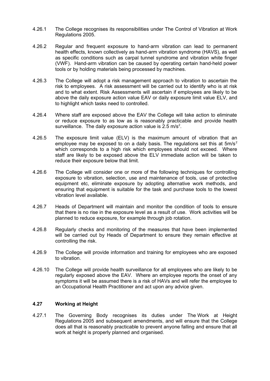- 4.26.1 The College recognises its responsibilities under The Control of Vibration at Work Regulations 2005.
- 4.26.2 Regular and frequent exposure to hand-arm vibration can lead to permanent health effects, known collectively as hand-arm vibration syndrome (HAVS), as well as specific conditions such as carpal tunnel syndrome and vibration white finger (VWF). Hand-arm vibration can be caused by operating certain hand-held power tools or by holding materials being processed by machines.
- 4.26.3 The College will adopt a risk management approach to vibration to ascertain the risk to employees. A risk assessment will be carried out to identify who is at risk and to what extent. Risk Assessments will ascertain if employees are likely to be above the daily exposure action value EAV or daily exposure limit value ELV, and to highlight which tasks need to controlled.
- 4.26.4 Where staff are exposed above the EAV the College will take action to eliminate or reduce exposure to as low as is reasonably practicable and provide health surveillance. The daily exposure action value is  $2.5 \text{ m/s}^2$ .
- 4.26.5 The exposure limit value (ELV) is the maximum amount of vibration that an employee may be exposed to on a daily basis. The regulations set this at  $5m/s^2$ which corresponds to a high risk which employees should not exceed. Where staff are likely to be exposed above the ELV immediate action will be taken to reduce their exposure below that limit.
- 4.26.6 The College will consider one or more of the following techniques for controlling exposure to vibration, selection, use and maintenance of tools, use of protective equipment etc, eliminate exposure by adopting alternative work methods, and ensuring that equipment is suitable for the task and purchase tools to the lowest vibration level available.
- 4.26.7 Heads of Department will maintain and monitor the condition of tools to ensure that there is no rise in the exposure level as a result of use. Work activities will be planned to reduce exposure, for example through job rotation.
- 4.26.8 Regularly checks and monitoring of the measures that have been implemented will be carried out by Heads of Department to ensure they remain effective at controlling the risk.
- 4.26.9 The College will provide information and training for employees who are exposed to vibration.
- 4.26.10 The College will provide health surveillance for all employees who are likely to be regularly exposed above the EAV. Where an employee reports the onset of any symptoms it will be assumed there is a risk of HAVs and will refer the employee to an Occupational Health Practitioner and act upon any advice given.

#### **4.27 Working at Height**

4.27.1 The Governing Body recognises its duties under The Work at Height Regulations 2005 and subsequent amendments, and will ensure that the College does all that is reasonably practicable to prevent anyone falling and ensure that all work at height is properly planned and organised.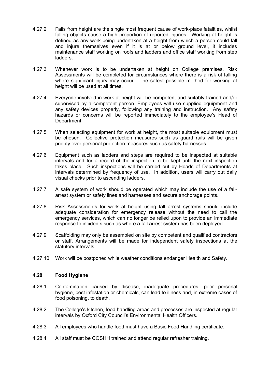- 4.27.2 Falls from height are the single most frequent cause of work-place fatalities, whilst falling objects cause a high proportion of reported injuries. Working at height is defined as any work being undertaken at a height from which a person could fall and injure themselves even if it is at or below ground level, it includes maintenance staff working on roofs and ladders and office staff working from step ladders.
- 4.27.3 Whenever work is to be undertaken at height on College premises, Risk Assessments will be completed for circumstances where there is a risk of falling where significant injury may occur. The safest possible method for working at height will be used at all times.
- 4.27.4 Everyone involved in work at height will be competent and suitably trained and/or supervised by a competent person. Employees will use supplied equipment and any safety devices properly, following any training and instruction. Any safety hazards or concerns will be reported immediately to the employee's Head of Department.
- 4.27.5 When selecting equipment for work at height, the most suitable equipment must be chosen. Collective protection measures such as guard rails will be given priority over personal protection measures such as safety harnesses.
- 4.27.6 Equipment such as ladders and steps are required to be inspected at suitable intervals and for a record of the inspection to be kept until the next inspection takes place. Such inspections will be carried out by Heads of Departments at intervals determined by frequency of use. In addition, users will carry out daily visual checks prior to ascending ladders.
- 4.27.7 A safe system of work should be operated which may include the use of a fallarrest system or safety lines and harnesses and secure anchorage points.
- 4.27.8 Risk Assessments for work at height using fall arrest systems should include adequate consideration for emergency release without the need to call the emergency services, which can no longer be relied upon to provide an immediate response to incidents such as where a fall arrest system has been deployed.
- 4.27.9 Scaffolding may only be assembled on site by competent and qualified contractors or staff. Arrangements will be made for independent safety inspections at the statutory intervals.
- 4.27.10 Work will be postponed while weather conditions endanger Health and Safety.

# **4.28 Food Hygiene**

- 4.28.1 Contamination caused by disease, inadequate procedures, poor personal hygiene, pest infestation or chemicals, can lead to illness and, in extreme cases of food poisoning, to death.
- 4.28.2 The College's kitchen, food handling areas and processes are inspected at regular intervals by Oxford City Council's Environmental Health Officers.
- 4.28.3 All employees who handle food must have a Basic Food Handling certificate.
- 4.28.4 All staff must be COSHH trained and attend regular refresher training.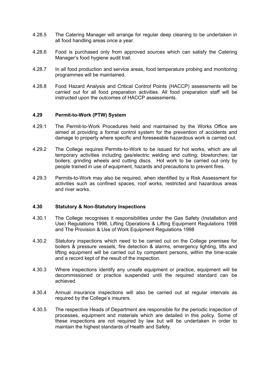- 4.28.5 The Catering Manager will arrange for regular deep cleaning to be undertaken in all food handling areas once a year.
- 4.28.6 Food is purchased only from approved sources which can satisfy the Catering Manager's food hygiene audit trail.
- 4.28.7 In all food production and service areas, food temperature probing and monitoring programmes will be maintained.
- 4.28.8 Food Hazard Analysis and Critical Control Points (HACCP) assessments will be carried out for all food preparation activities. All food preparation staff will be instructed upon the outcomes of HACCP assessments.

#### **4.29 Permit-to-Work (PTW) System**

- 4.29.1 The Permit-to-Work Procedures held and maintained by the Works Office are aimed at providing a formal control system for the prevention of accidents and damage to property where specific and foreseeable hazardous work is carried out.
- 4.29.2 The College requires Permits-to-Work to be issued for hot works, which are all temporary activities including gas/electric welding and cutting; blowtorches; tar boilers; grinding wheels and cutting discs. Hot work to be carried out only by people trained in use of equipment, hazards and precautions to prevent fires.
- 4.29.3 Permits-to-Work may also be required, when identified by a Risk Assessment for activities such as confined spaces, roof works, restricted and hazardous areas and river works.

#### **4.30 Statutory & Non-Statutory Inspections**

- 4.30.1 The College recognises it responsibilities under the Gas Safety (Installation and Use) Regulations 1998, Lifting Operations & Lifting Equipment Regulations 1998 and The Provision & Use of Work Equipment Regulations 1998
- 4.30.2 Statutory inspections which need to be carried out on the College premises for boilers & pressure vessels, fire detection & alarms, emergency lighting, lifts and lifting equipment will be carried out by competent persons, within the time-scale and a record kept of the result of the inspection.
- 4.30.3 Where inspections identify any unsafe equipment or practice, equipment will be decommissioned or practice suspended until the required standard can be achieved.
- 4.30.4 Annual insurance inspections will also be carried out at regular intervals as required by the College's insurers.
- 4.30.5 The respective Heads of Department are responsible for the periodic inspection of processes, equipment and materials which are detailed in this policy. Some of these inspections are not required by law but will be undertaken in order to maintain the highest standards of Health and Safety.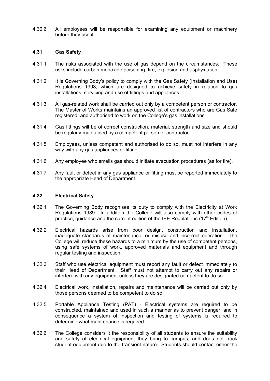4.30.6 All employees will be responsible for examining any equipment or machinery before they use it.

#### **4.31 Gas Safety**

- 4.31.1 The risks associated with the use of gas depend on the circumstances. These risks include carbon monoxide poisoning, fire, explosion and asphyxiation.
- 4.31.2 It is Governing Body's policy to comply with the Gas Safety (Installation and Use) Regulations 1998, which are designed to achieve safety in relation to gas installations, servicing and use of fittings and appliances.
- 4.31.3 All gas-related work shall be carried out only by a competent person or contractor. The Master of Works maintains an approved list of contractors who are Gas Safe registered, and authorised to work on the College's gas installations.
- 4.31.4 Gas fittings will be of correct construction, material, strength and size and should be regularly maintained by a competent person or contractor.
- 4.31.5 Employees, unless competent and authorised to do so, must not interfere in any way with any gas appliances or fitting.
- 4.31.6 Any employee who smells gas should initiate evacuation procedures (as for fire).
- 4.31.7 Any fault or defect in any gas appliance or fitting must be reported immediately to the appropriate Head of Department.

#### **4.32 Electrical Safety**

- 4.32.1 The Governing Body recognises its duty to comply with the Electricity at Work Regulations 1989. In addition the College will also comply with other codes of practice, quidance and the current edition of the IEE Regulations ( $17<sup>th</sup>$  Edition).
- 4.32.2 Electrical hazards arise from poor design, construction and installation, inadequate standards of maintenance, or misuse and incorrect operation. The College will reduce these hazards to a minimum by the use of competent persons, using safe systems of work, approved materials and equipment and through regular testing and inspection.
- 4.32.3 Staff who use electrical equipment must report any fault or defect immediately to their Head of Department. Staff must not attempt to carry out any repairs or interfere with any equipment unless they are designated competent to do so.
- 4.32.4 Electrical work, installation, repairs and maintenance will be carried out only by those persons deemed to be competent to do so.
- 4.32.5 Portable Appliance Testing (PAT) Electrical systems are required to be constructed, maintained and used in such a manner as to prevent danger, and in consequence a system of inspection and testing of systems is required to determine what maintenance is required.
- 4.32.6 The College considers it the responsibility of all students to ensure the suitability and safety of electrical equipment they bring to campus, and does not track student equipment due to the transient nature. Students should contact either the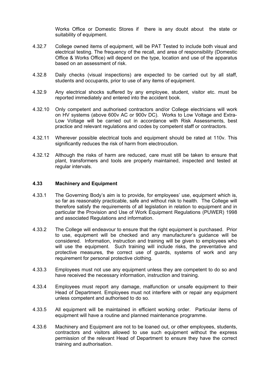Works Office or Domestic Stores if there is any doubt about the state or suitability of equipment.

- 4.32.7 College owned items of equipment, will be PAT Tested to include both visual and electrical testing. The frequency of the recall, and area of responsibility (Domestic Office & Works Office) will depend on the type, location and use of the apparatus based on an assessment of risk.
- 4.32.8 Daily checks (visual inspections) are expected to be carried out by all staff, students and occupants, prior to use of any items of equipment.
- 4.32.9 Any electrical shocks suffered by any employee, student, visitor etc. must be reported immediately and entered into the accident book.
- 4.32.10 Only competent and authorised contractors and/or College electricians will work on HV systems (above 600v AC or 900v DC). Works to Low Voltage and Extra-Low Voltage will be carried out in accordance with Risk Assessments, best practice and relevant regulations and codes by competent staff or contractors.
- 4.32.11 Wherever possible electrical tools and equipment should be rated at 110v. This significantly reduces the risk of harm from electrocution.
- 4.32.12 Although the risks of harm are reduced, care must still be taken to ensure that plant, transformers and tools are properly maintained, inspected and tested at regular intervals.

#### **4.33 Machinery and Equipment**

- 4.33.1 The Governing Body's aim is to provide, for employees' use, equipment which is, so far as reasonably practicable, safe and without risk to health. The College will therefore satisfy the requirements of all legislation in relation to equipment and in particular the Provision and Use of Work Equipment Regulations (PUWER) 1998 and associated Regulations and information.
- 4.33.2 The College will endeavour to ensure that the right equipment is purchased. Prior to use, equipment will be checked and any manufacturer's guidance will be considered. Information, instruction and training will be given to employees who will use the equipment. Such training will include risks, the preventative and protective measures, the correct use of guards, systems of work and any requirement for personal protective clothing.
- 4.33.3 Employees must not use any equipment unless they are competent to do so and have received the necessary information, instruction and training.
- 4.33.4 Employees must report any damage, malfunction or unsafe equipment to their Head of Department. Employees must not interfere with or repair any equipment unless competent and authorised to do so.
- 4.33.5 All equipment will be maintained in efficient working order. Particular items of equipment will have a routine and planned maintenance programme.
- 4.33.6 Machinery and Equipment are not to be loaned out, or other employees, students, contractors and visitors allowed to use such equipment without the express permission of the relevant Head of Department to ensure they have the correct training and authorisation.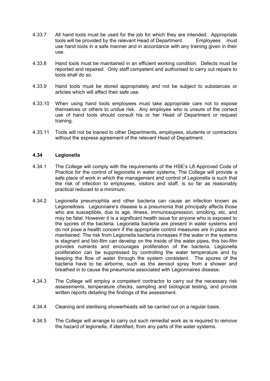- 4.33.7 All hand tools must be used for the job for which they are intended. Appropriate tools will be provided by the relevant Head of Department. Employees must use hand tools in a safe manner and in accordance with any training given in their use.
- 4.33.8 Hand tools must be maintained in an efficient working condition. Defects must be reported and repaired. Only staff competent and authorised to carry out repairs to tools shall do so.
- 4.33.9 Hand tools must be stored appropriately and not be subject to substances or articles which will affect their safe use.
- 4.33.10 When using hand tools employees must take appropriate care not to expose themselves or others to undue risk. Any employee who is unsure of the correct use of hand tools should consult his or her Head of Department or request training.
- 4.33.11 Tools will not be loaned to other Departments, employees, students or contractors without the express agreement of the relevant Head of Department.

# **4.34 Legionella**

- 4.34.1 The College will comply with the requirements of the HSE's L8 Approved Code of Practice for the control of legionella in water systems, The College will provide a safe place of work in which the management and control of Legionella is such that the risk of infection to employees, visitors and staff, is so far as reasonably practical reduced to a minimum.
- 4.34.2 Legionella pneumophila and other bacteria can cause an infection known as Legionellosis. Legionnaire's disease is a pneumonia that principally affects those who are susceptible, due to age, illness, immunosupression, smoking, etc, and may be fatal. However it is a significant health issue for anyone who is exposed to the spores of the bacteria. Legionella bacteria are present in water systems and do not pose a health concern if the appropriate control measures are in place and maintained. The risk from Legionella bacteria increases if the water in the systems is stagnant and bio-film can develop on the inside of the water pipes, this bio-film provides nutrients and encourages proliferation of the bacteria. Legionella proliferation can be suppressed by controlling the water temperature and by keeping the flow of water through the system consistent. The spores of the bacteria have to be airborne, such as the aerosol spray from a shower and breathed in to cause the pneumonia associated with Legionnaires disease.
- 4.34.3 The College will employ a competent contractor to carry out the necessary risk assessments, temperature checks, sampling and biological testing, and provide written reports detailing the findings of the assessment.
- 4.34.4 Cleaning and sterilising showerheads will be carried out on a regular basis.
- 4.34.5 The College will arrange to carry out such remedial work as is required to remove the hazard of legionella, if identified, from any parts of the water systems.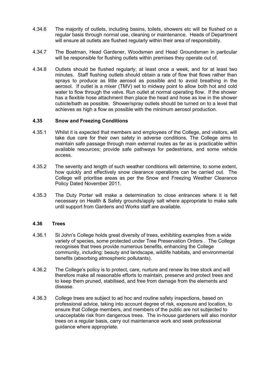- 4.34.6 The majority of outlets, including basins, toilets, showers etc will be flushed on a regular basis through normal use, cleaning or maintenance. Heads of Department will ensure all outlets are flushed regularly within their area of responsibility.
- 4.34.7 The Boatman, Head Gardener, Woodsmen and Head Groundsman in particular will be responsible for flushing outlets within premises they operate out of.
- 4.34.8 Outlets should be flushed regularly; at least once a week, and for at least two minutes. Staff flushing outlets should obtain a rate of flow that flows rather than sprays to produce as little aerosol as possible and to avoid breathing in the aerosol. If outlet is a mixer (TMV) set to midway point to allow both hot and cold water to flow through the valve. Run outlet at normal operating flow. If the shower has a flexible hose attachment then place the head and hose as low in the shower cubicle/bath as possible. Shower/spray outlets should be turned on to a level that achieves as high a flow as possible with the minimum aerosol production.

#### **4.35 Snow and Freezing Conditions**

- 4.35.1 Whilst it is expected that members and employees of the College, and visitors, will take due care for their own safety in adverse conditions, The College aims to maintain safe passage through main external routes as far as is practicable within available resources; provide safe pathways for pedestrians, and some vehicle access.
- 4.35.2 The severity and length of such weather conditions will determine, to some extent, how quickly and effectively snow clearance operations can be carried out. The College will prioritise areas as per the Snow and Freezing Weather Clearance Policy Dated November 2011.
- 4.35.3 The Duty Porter will make a determination to close entrances where it is felt necessary on Health & Safety grounds/apply salt where appropriate to make safe until support from Gardens and Works staff are available.

#### **4.36 Trees**

- 4.36.1 St John's College holds great diversity of trees, exhibiting examples from a wide variety of species, some protected under Tree Preservation Orders . The College recognises that trees provide numerous benefits, enhancing the College community, including: beauty and landscape, wildlife habitats, and environmental benefits (absorbing atmospheric pollutants).
- 4.36.2 The College's policy is to protect, care, nurture and renew its tree stock and will therefore make all reasonable efforts to maintain, preserve and protect trees and to keep them pruned, stabilised, and free from damage from the elements and disease.
- 4.36.3 College trees are subject to ad hoc and routine safety inspections, based on professional advice, taking into account degree of risk, exposure and location, to ensure that College members, and members of the public are not subjected to unacceptable risk from dangerous trees. The in-house gardeners will also monitor trees on a regular basis, carry out maintenance work and seek professional guidance where appropriate.